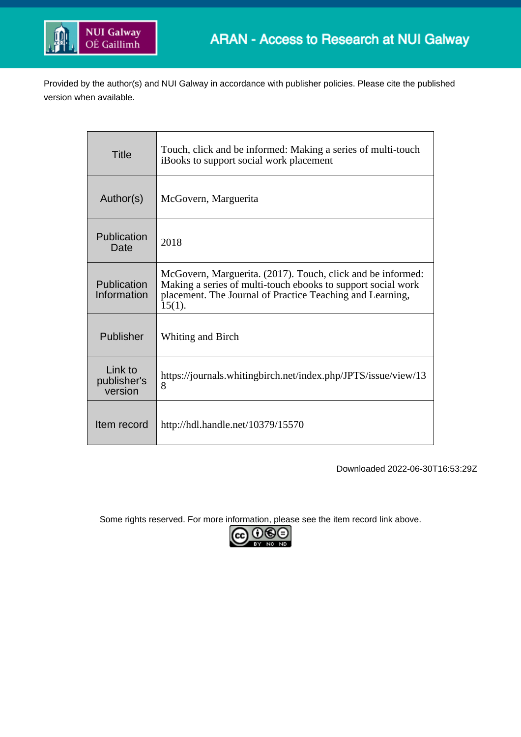

Provided by the author(s) and NUI Galway in accordance with publisher policies. Please cite the published version when available.

| <b>Title</b>                      | Touch, click and be informed: Making a series of multi-touch<br>iBooks to support social work placement                                                                                               |
|-----------------------------------|-------------------------------------------------------------------------------------------------------------------------------------------------------------------------------------------------------|
| Author(s)                         | McGovern, Marguerita                                                                                                                                                                                  |
| Publication<br>Date               | 2018                                                                                                                                                                                                  |
| Publication<br>Information        | McGovern, Marguerita. (2017). Touch, click and be informed:<br>Making a series of multi-touch ebooks to support social work<br>placement. The Journal of Practice Teaching and Learning,<br>$15(1)$ . |
| Publisher                         | Whiting and Birch                                                                                                                                                                                     |
| Link to<br>publisher's<br>version | https://journals.whitingbirch.net/index.php/JPTS/issue/view/13<br>8                                                                                                                                   |
| Item record                       | http://hdl.handle.net/10379/15570                                                                                                                                                                     |

Downloaded 2022-06-30T16:53:29Z

Some rights reserved. For more information, please see the item record link above.

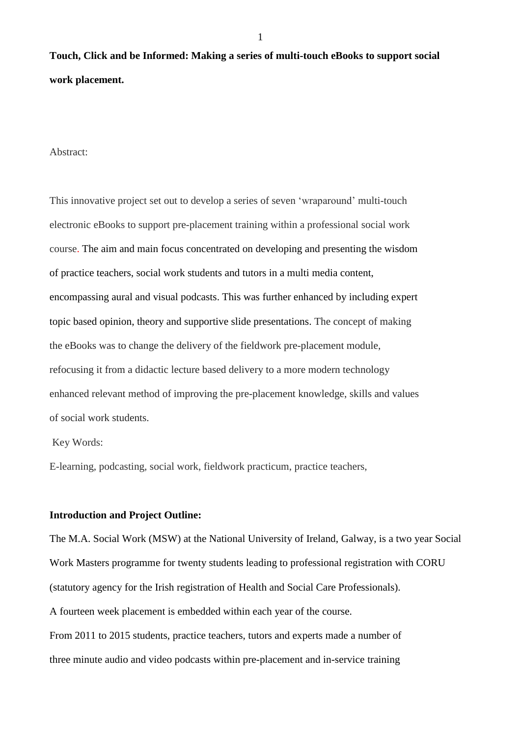**Touch, Click and be Informed: Making a series of multi-touch eBooks to support social work placement.**

### Abstract:

This innovative project set out to develop a series of seven 'wraparound' multi-touch electronic eBooks to support pre-placement training within a professional social work course. The aim and main focus concentrated on developing and presenting the wisdom of practice teachers, social work students and tutors in a multi media content, encompassing aural and visual podcasts. This was further enhanced by including expert topic based opinion, theory and supportive slide presentations. The concept of making the eBooks was to change the delivery of the fieldwork pre-placement module, refocusing it from a didactic lecture based delivery to a more modern technology enhanced relevant method of improving the pre-placement knowledge, skills and values of social work students.

Key Words:

E-learning, podcasting, social work, fieldwork practicum, practice teachers,

### **Introduction and Project Outline:**

The M.A. Social Work (MSW) at the National University of Ireland, Galway, is a two year Social Work Masters programme for twenty students leading to professional registration with CORU (statutory agency for the Irish registration of Health and Social Care Professionals). A fourteen week placement is embedded within each year of the course. From 2011 to 2015 students, practice teachers, tutors and experts made a number of three minute audio and video podcasts within pre-placement and in-service training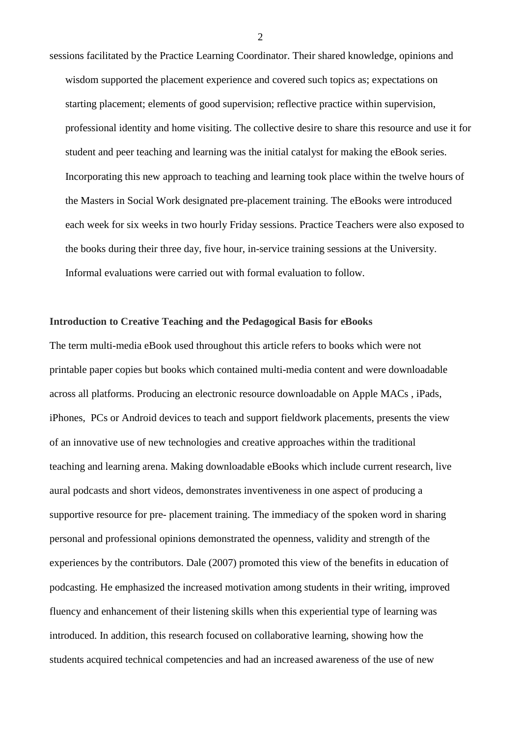sessions facilitated by the Practice Learning Coordinator. Their shared knowledge, opinions and wisdom supported the placement experience and covered such topics as; expectations on starting placement; elements of good supervision; reflective practice within supervision, professional identity and home visiting. The collective desire to share this resource and use it for student and peer teaching and learning was the initial catalyst for making the eBook series. Incorporating this new approach to teaching and learning took place within the twelve hours of the Masters in Social Work designated pre-placement training. The eBooks were introduced each week for six weeks in two hourly Friday sessions. Practice Teachers were also exposed to the books during their three day, five hour, in-service training sessions at the University. Informal evaluations were carried out with formal evaluation to follow.

## **Introduction to Creative Teaching and the Pedagogical Basis for eBooks**

The term multi-media eBook used throughout this article refers to books which were not printable paper copies but books which contained multi-media content and were downloadable across all platforms. Producing an electronic resource downloadable on Apple MACs , iPads, iPhones, PCs or Android devices to teach and support fieldwork placements, presents the view of an innovative use of new technologies and creative approaches within the traditional teaching and learning arena. Making downloadable eBooks which include current research, live aural podcasts and short videos, demonstrates inventiveness in one aspect of producing a supportive resource for pre- placement training. The immediacy of the spoken word in sharing personal and professional opinions demonstrated the openness, validity and strength of the experiences by the contributors. Dale (2007) promoted this view of the benefits in education of podcasting. He emphasized the increased motivation among students in their writing, improved fluency and enhancement of their listening skills when this experiential type of learning was introduced. In addition, this research focused on collaborative learning, showing how the students acquired technical competencies and had an increased awareness of the use of new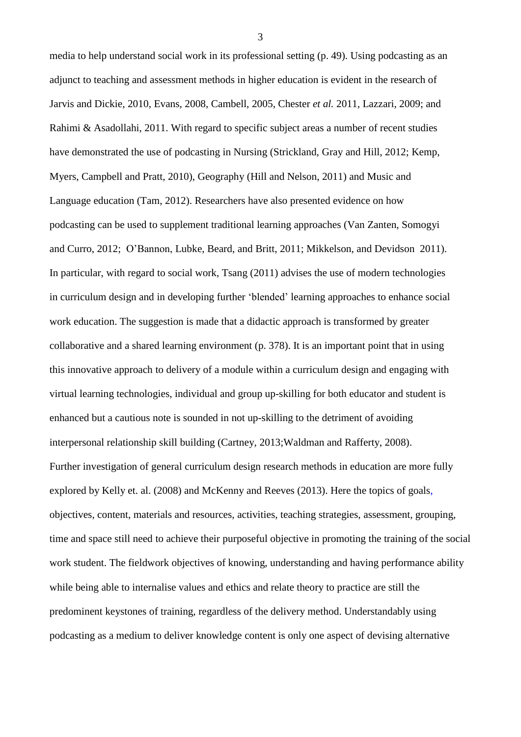media to help understand social work in its professional setting (p. 49). Using podcasting as an adjunct to teaching and assessment methods in higher education is evident in the research of Jarvis and Dickie, 2010, Evans, 2008, Cambell, 2005, Chester *et al.* 2011, Lazzari, 2009; and Rahimi & Asadollahi, 2011. With regard to specific subject areas a number of recent studies have demonstrated the use of podcasting in Nursing (Strickland, Gray and Hill, 2012; Kemp, Myers, Campbell and Pratt, 2010), Geography (Hill and Nelson, 2011) and Music and Language education (Tam, 2012). Researchers have also presented evidence on how podcasting can be used to supplement traditional learning approaches (Van Zanten, Somogyi and Curro, 2012; O'Bannon, Lubke, Beard, and Britt, 2011; Mikkelson, and Devidson 2011). In particular, with regard to social work, Tsang (2011) advises the use of modern technologies in curriculum design and in developing further 'blended' learning approaches to enhance social work education. The suggestion is made that a didactic approach is transformed by greater collaborative and a shared learning environment (p. 378). It is an important point that in using this innovative approach to delivery of a module within a curriculum design and engaging with virtual learning technologies, individual and group up-skilling for both educator and student is enhanced but a cautious note is sounded in not up-skilling to the detriment of avoiding interpersonal relationship skill building (Cartney, 2013;Waldman and Rafferty, 2008). Further investigation of general curriculum design research methods in education are more fully explored by Kelly et. al. (2008) and McKenny and Reeves (2013). Here the topics of goals, objectives, content, materials and resources, activities, teaching strategies, assessment, grouping, time and space still need to achieve their purposeful objective in promoting the training of the social work student. The fieldwork objectives of knowing, understanding and having performance ability while being able to internalise values and ethics and relate theory to practice are still the predominent keystones of training, regardless of the delivery method. Understandably using podcasting as a medium to deliver knowledge content is only one aspect of devising alternative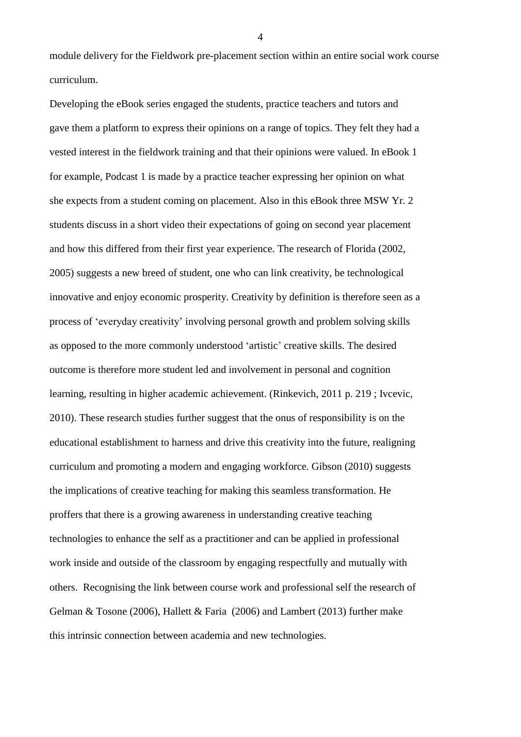module delivery for the Fieldwork pre-placement section within an entire social work course curriculum.

Developing the eBook series engaged the students, practice teachers and tutors and gave them a platform to express their opinions on a range of topics. They felt they had a vested interest in the fieldwork training and that their opinions were valued. In eBook 1 for example, Podcast 1 is made by a practice teacher expressing her opinion on what she expects from a student coming on placement. Also in this eBook three MSW Yr. 2 students discuss in a short video their expectations of going on second year placement and how this differed from their first year experience. The research of Florida (2002, 2005) suggests a new breed of student, one who can link creativity, be technological innovative and enjoy economic prosperity. Creativity by definition is therefore seen as a process of 'everyday creativity' involving personal growth and problem solving skills as opposed to the more commonly understood 'artistic' creative skills. The desired outcome is therefore more student led and involvement in personal and cognition learning, resulting in higher academic achievement. (Rinkevich, 2011 p. 219 ; Ivcevic, 2010). These research studies further suggest that the onus of responsibility is on the educational establishment to harness and drive this creativity into the future, realigning curriculum and promoting a modern and engaging workforce. Gibson (2010) suggests the implications of creative teaching for making this seamless transformation. He proffers that there is a growing awareness in understanding creative teaching technologies to enhance the self as a practitioner and can be applied in professional work inside and outside of the classroom by engaging respectfully and mutually with others. Recognising the link between course work and professional self the research of Gelman & Tosone (2006), Hallett & Faria (2006) and Lambert (2013) further make this intrinsic connection between academia and new technologies.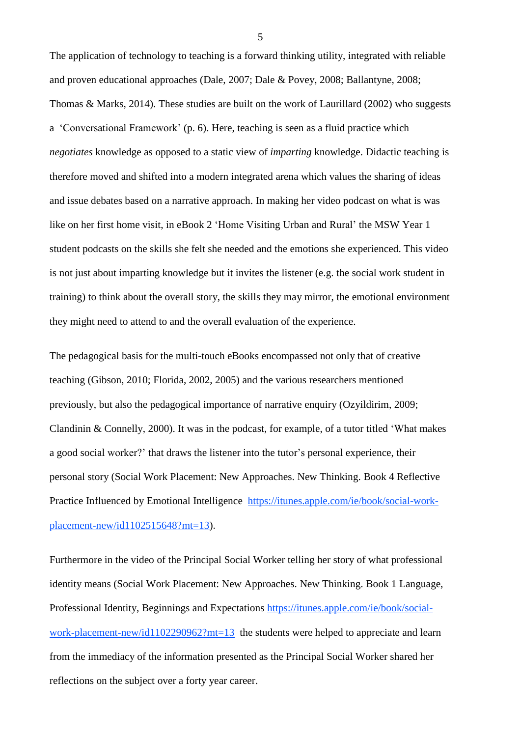The application of technology to teaching is a forward thinking utility, integrated with reliable and proven educational approaches (Dale, 2007; Dale & Povey, 2008; Ballantyne, 2008; Thomas & Marks, 2014). These studies are built on the work of Laurillard (2002) who suggests a 'Conversational Framework' (p. 6). Here, teaching is seen as a fluid practice which *negotiates* knowledge as opposed to a static view of *imparting* knowledge. Didactic teaching is therefore moved and shifted into a modern integrated arena which values the sharing of ideas and issue debates based on a narrative approach. In making her video podcast on what is was like on her first home visit, in eBook 2 'Home Visiting Urban and Rural' the MSW Year 1 student podcasts on the skills she felt she needed and the emotions she experienced. This video is not just about imparting knowledge but it invites the listener (e.g. the social work student in training) to think about the overall story, the skills they may mirror, the emotional environment they might need to attend to and the overall evaluation of the experience.

The pedagogical basis for the multi-touch eBooks encompassed not only that of creative teaching (Gibson, 2010; Florida, 2002, 2005) and the various researchers mentioned previously, but also the pedagogical importance of narrative enquiry (Ozyildirim, 2009; Clandinin & Connelly, 2000). It was in the podcast, for example, of a tutor titled 'What makes a good social worker?' that draws the listener into the tutor's personal experience, their personal story (Social Work Placement: New Approaches. New Thinking. Book 4 Reflective Practice Influenced by Emotional Intelligence [https://itunes.apple.com/ie/book/social-work](https://itunes.apple.com/ie/book/social-work-placement-new/id1102515648?mt=13)[placement-new/id1102515648?mt=13\)](https://itunes.apple.com/ie/book/social-work-placement-new/id1102515648?mt=13).

Furthermore in the video of the Principal Social Worker telling her story of what professional identity means (Social Work Placement: New Approaches. New Thinking. Book 1 Language, Professional Identity, Beginnings and Expectations [https://itunes.apple.com/ie/book/social](https://itunes.apple.com/ie/book/social-work-placement-new/id1102290962?mt=13)[work-placement-new/id1102290962?mt=13](https://itunes.apple.com/ie/book/social-work-placement-new/id1102290962?mt=13) the students were helped to appreciate and learn from the immediacy of the information presented as the Principal Social Worker shared her reflections on the subject over a forty year career.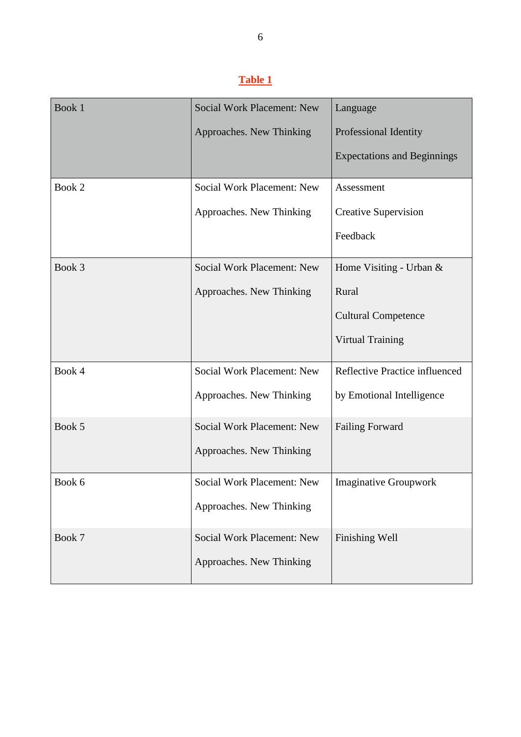# **Table 1**

| Book 1 | <b>Social Work Placement: New</b> | Language                           |
|--------|-----------------------------------|------------------------------------|
|        | Approaches. New Thinking          | Professional Identity              |
|        |                                   | <b>Expectations and Beginnings</b> |
| Book 2 | <b>Social Work Placement: New</b> | Assessment                         |
|        | Approaches. New Thinking          | <b>Creative Supervision</b>        |
|        |                                   | Feedback                           |
| Book 3 | <b>Social Work Placement: New</b> | Home Visiting - Urban $\&$         |
|        | Approaches. New Thinking          | Rural                              |
|        |                                   | <b>Cultural Competence</b>         |
|        |                                   | <b>Virtual Training</b>            |
| Book 4 | <b>Social Work Placement: New</b> | Reflective Practice influenced     |
|        | Approaches. New Thinking          | by Emotional Intelligence          |
| Book 5 | <b>Social Work Placement: New</b> | <b>Failing Forward</b>             |
|        | Approaches. New Thinking          |                                    |
| Book 6 | Social Work Placement: New        | <b>Imaginative Groupwork</b>       |
|        | Approaches. New Thinking          |                                    |
| Book 7 | Social Work Placement: New        | Finishing Well                     |
|        | Approaches. New Thinking          |                                    |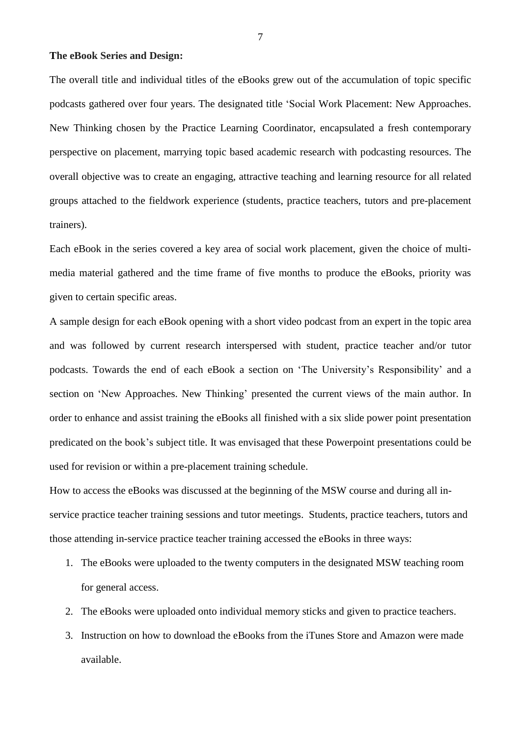# **The eBook Series and Design:**

The overall title and individual titles of the eBooks grew out of the accumulation of topic specific podcasts gathered over four years. The designated title 'Social Work Placement: New Approaches. New Thinking chosen by the Practice Learning Coordinator, encapsulated a fresh contemporary perspective on placement, marrying topic based academic research with podcasting resources. The overall objective was to create an engaging, attractive teaching and learning resource for all related groups attached to the fieldwork experience (students, practice teachers, tutors and pre-placement trainers).

Each eBook in the series covered a key area of social work placement, given the choice of multimedia material gathered and the time frame of five months to produce the eBooks, priority was given to certain specific areas.

A sample design for each eBook opening with a short video podcast from an expert in the topic area and was followed by current research interspersed with student, practice teacher and/or tutor podcasts. Towards the end of each eBook a section on 'The University's Responsibility' and a section on 'New Approaches. New Thinking' presented the current views of the main author. In order to enhance and assist training the eBooks all finished with a six slide power point presentation predicated on the book's subject title. It was envisaged that these Powerpoint presentations could be used for revision or within a pre-placement training schedule.

How to access the eBooks was discussed at the beginning of the MSW course and during all inservice practice teacher training sessions and tutor meetings. Students, practice teachers, tutors and those attending in-service practice teacher training accessed the eBooks in three ways:

- 1. The eBooks were uploaded to the twenty computers in the designated MSW teaching room for general access.
- 2. The eBooks were uploaded onto individual memory sticks and given to practice teachers.
- 3. Instruction on how to download the eBooks from the iTunes Store and Amazon were made available.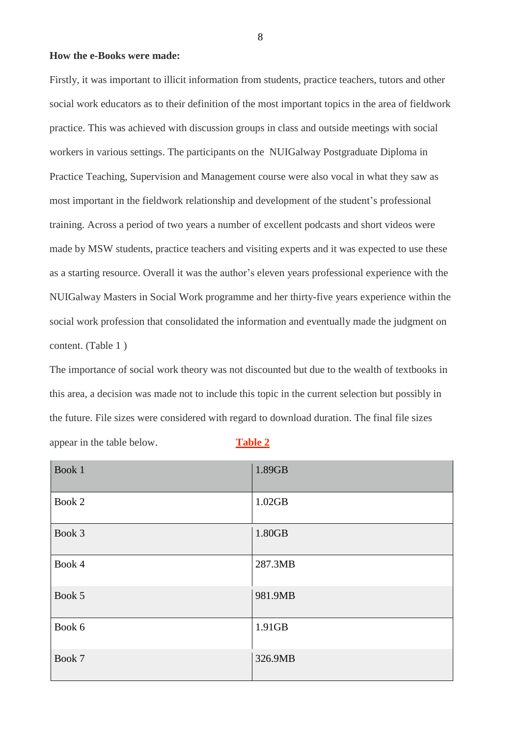### **How the e-Books were made:**

Firstly, it was important to illicit information from students, practice teachers, tutors and other social work educators as to their definition of the most important topics in the area of fieldwork practice. This was achieved with discussion groups in class and outside meetings with social workers in various settings. The participants on the NUIGalway Postgraduate Diploma in Practice Teaching, Supervision and Management course were also vocal in what they saw as most important in the fieldwork relationship and development of the student's professional training. Across a period of two years a number of excellent podcasts and short videos were made by MSW students, practice teachers and visiting experts and it was expected to use these as a starting resource. Overall it was the author's eleven years professional experience with the NUIGalway Masters in Social Work programme and her thirty-five years experience within the social work profession that consolidated the information and eventually made the judgment on content. (Table 1 )

The importance of social work theory was not discounted but due to the wealth of textbooks in this area, a decision was made not to include this topic in the current selection but possibly in the future. File sizes were considered with regard to download duration. The final file sizes appear in the table below. **Table 2**

| Book 1 | 1.89GB  |
|--------|---------|
| Book 2 | 1.02GB  |
| Book 3 | 1.80GB  |
| Book 4 | 287.3MB |
| Book 5 | 981.9MB |
| Book 6 | 1.91GB  |
| Book 7 | 326.9MB |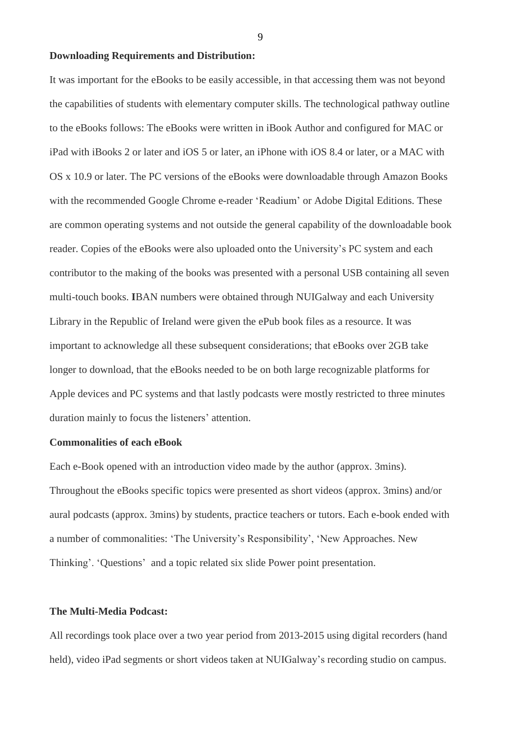# **Downloading Requirements and Distribution:**

It was important for the eBooks to be easily accessible, in that accessing them was not beyond the capabilities of students with elementary computer skills. The technological pathway outline to the eBooks follows: The eBooks were written in iBook Author and configured for MAC or iPad with iBooks 2 or later and iOS 5 or later, an iPhone with iOS 8.4 or later, or a MAC with OS x 10.9 or later. The PC versions of the eBooks were downloadable through Amazon Books with the recommended Google Chrome e-reader 'Readium' or Adobe Digital Editions. These are common operating systems and not outside the general capability of the downloadable book reader. Copies of the eBooks were also uploaded onto the University's PC system and each contributor to the making of the books was presented with a personal USB containing all seven multi-touch books. **I**BAN numbers were obtained through NUIGalway and each University Library in the Republic of Ireland were given the ePub book files as a resource. It was important to acknowledge all these subsequent considerations; that eBooks over 2GB take longer to download, that the eBooks needed to be on both large recognizable platforms for Apple devices and PC systems and that lastly podcasts were mostly restricted to three minutes duration mainly to focus the listeners' attention.

#### **Commonalities of each eBook**

Each e-Book opened with an introduction video made by the author (approx. 3mins). Throughout the eBooks specific topics were presented as short videos (approx. 3mins) and/or aural podcasts (approx. 3mins) by students, practice teachers or tutors. Each e-book ended with a number of commonalities: 'The University's Responsibility', 'New Approaches. New Thinking'. 'Questions' and a topic related six slide Power point presentation.

### **The Multi-Media Podcast:**

All recordings took place over a two year period from 2013-2015 using digital recorders (hand held), video iPad segments or short videos taken at NUIGalway's recording studio on campus.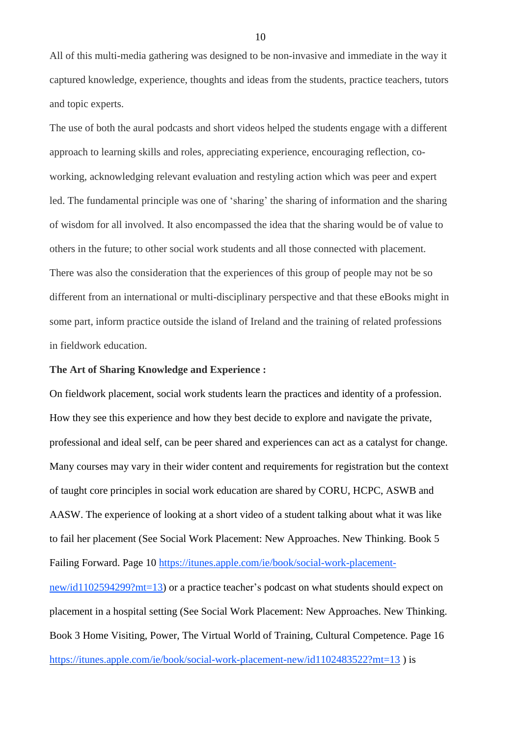All of this multi-media gathering was designed to be non-invasive and immediate in the way it captured knowledge, experience, thoughts and ideas from the students, practice teachers, tutors and topic experts.

The use of both the aural podcasts and short videos helped the students engage with a different approach to learning skills and roles, appreciating experience, encouraging reflection, coworking, acknowledging relevant evaluation and restyling action which was peer and expert led. The fundamental principle was one of 'sharing' the sharing of information and the sharing of wisdom for all involved. It also encompassed the idea that the sharing would be of value to others in the future; to other social work students and all those connected with placement. There was also the consideration that the experiences of this group of people may not be so different from an international or multi-disciplinary perspective and that these eBooks might in some part, inform practice outside the island of Ireland and the training of related professions in fieldwork education.

### **The Art of Sharing Knowledge and Experience :**

On fieldwork placement, social work students learn the practices and identity of a profession. How they see this experience and how they best decide to explore and navigate the private, professional and ideal self, can be peer shared and experiences can act as a catalyst for change. Many courses may vary in their wider content and requirements for registration but the context of taught core principles in social work education are shared by CORU, HCPC, ASWB and AASW. The experience of looking at a short video of a student talking about what it was like to fail her placement (See Social Work Placement: New Approaches. New Thinking. Book 5 Failing Forward. Page 10 [https://itunes.apple.com/ie/book/social-work-placement](https://itunes.apple.com/ie/book/social-work-placement-new/id1102594299?mt=13)[new/id1102594299?mt=13\)](https://itunes.apple.com/ie/book/social-work-placement-new/id1102594299?mt=13) or a practice teacher's podcast on what students should expect on placement in a hospital setting (See Social Work Placement: New Approaches. New Thinking. Book 3 Home Visiting, Power, The Virtual World of Training, Cultural Competence. Page 16 <https://itunes.apple.com/ie/book/social-work-placement-new/id1102483522?mt=13> ) is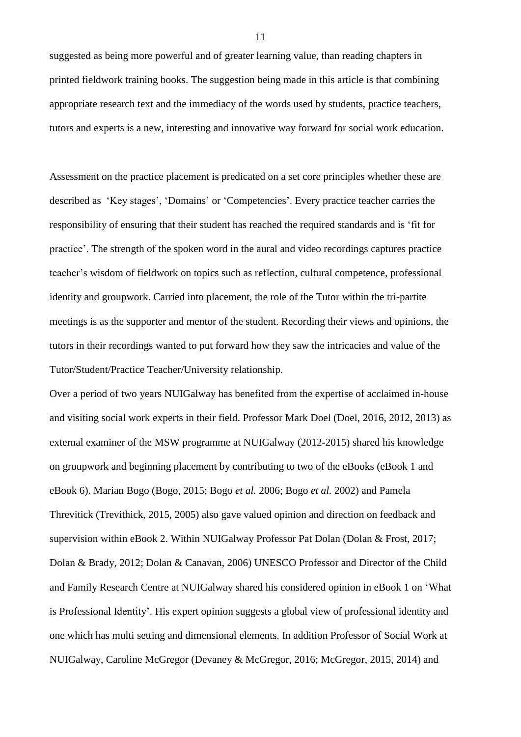suggested as being more powerful and of greater learning value, than reading chapters in printed fieldwork training books. The suggestion being made in this article is that combining appropriate research text and the immediacy of the words used by students, practice teachers, tutors and experts is a new, interesting and innovative way forward for social work education.

Assessment on the practice placement is predicated on a set core principles whether these are described as 'Key stages', 'Domains' or 'Competencies'. Every practice teacher carries the responsibility of ensuring that their student has reached the required standards and is 'fit for practice'. The strength of the spoken word in the aural and video recordings captures practice teacher's wisdom of fieldwork on topics such as reflection, cultural competence, professional identity and groupwork. Carried into placement, the role of the Tutor within the tri-partite meetings is as the supporter and mentor of the student. Recording their views and opinions, the tutors in their recordings wanted to put forward how they saw the intricacies and value of the Tutor/Student/Practice Teacher/University relationship.

Over a period of two years NUIGalway has benefited from the expertise of acclaimed in-house and visiting social work experts in their field. Professor Mark Doel (Doel, 2016, 2012, 2013) as external examiner of the MSW programme at NUIGalway (2012-2015) shared his knowledge on groupwork and beginning placement by contributing to two of the eBooks (eBook 1 and eBook 6). Marian Bogo (Bogo, 2015; Bogo *et al.* 2006; Bogo *et al.* 2002) and Pamela Threvitick (Trevithick, 2015, 2005) also gave valued opinion and direction on feedback and supervision within eBook 2. Within NUIGalway Professor Pat Dolan (Dolan & Frost, 2017; Dolan & Brady, 2012; Dolan & Canavan, 2006) UNESCO Professor and Director of the Child and Family Research Centre at NUIGalway shared his considered opinion in eBook 1 on 'What is Professional Identity'. His expert opinion suggests a global view of professional identity and one which has multi setting and dimensional elements. In addition Professor of Social Work at NUIGalway, Caroline McGregor (Devaney & McGregor, 2016; McGregor, 2015, 2014) and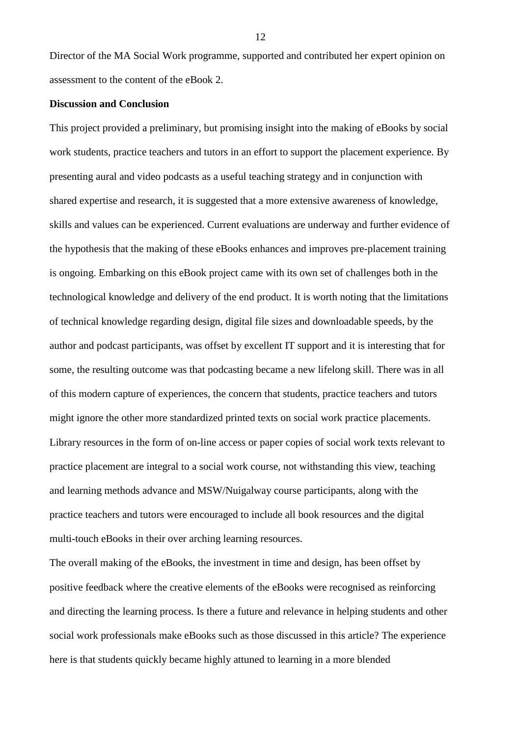Director of the MA Social Work programme, supported and contributed her expert opinion on assessment to the content of the eBook 2.

### **Discussion and Conclusion**

This project provided a preliminary, but promising insight into the making of eBooks by social work students, practice teachers and tutors in an effort to support the placement experience. By presenting aural and video podcasts as a useful teaching strategy and in conjunction with shared expertise and research, it is suggested that a more extensive awareness of knowledge, skills and values can be experienced. Current evaluations are underway and further evidence of the hypothesis that the making of these eBooks enhances and improves pre-placement training is ongoing. Embarking on this eBook project came with its own set of challenges both in the technological knowledge and delivery of the end product. It is worth noting that the limitations of technical knowledge regarding design, digital file sizes and downloadable speeds, by the author and podcast participants, was offset by excellent IT support and it is interesting that for some, the resulting outcome was that podcasting became a new lifelong skill. There was in all of this modern capture of experiences, the concern that students, practice teachers and tutors might ignore the other more standardized printed texts on social work practice placements. Library resources in the form of on-line access or paper copies of social work texts relevant to practice placement are integral to a social work course, not withstanding this view, teaching and learning methods advance and MSW/Nuigalway course participants, along with the practice teachers and tutors were encouraged to include all book resources and the digital multi-touch eBooks in their over arching learning resources.

The overall making of the eBooks, the investment in time and design, has been offset by positive feedback where the creative elements of the eBooks were recognised as reinforcing and directing the learning process. Is there a future and relevance in helping students and other social work professionals make eBooks such as those discussed in this article? The experience here is that students quickly became highly attuned to learning in a more blended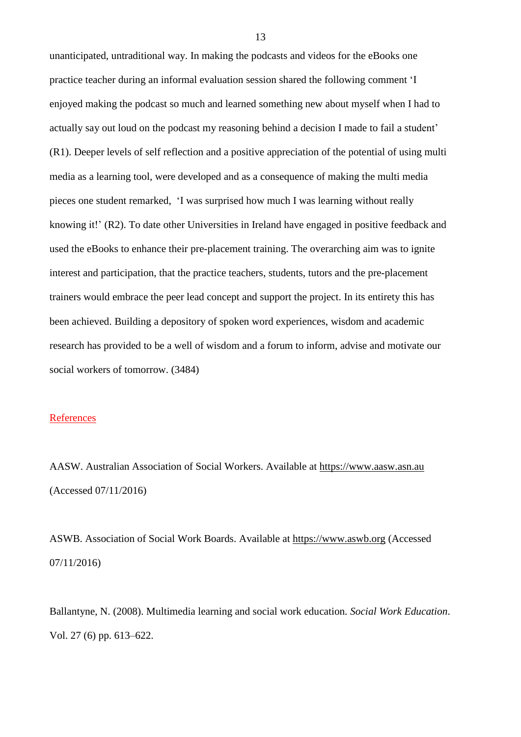unanticipated, untraditional way. In making the podcasts and videos for the eBooks one practice teacher during an informal evaluation session shared the following comment 'I enjoyed making the podcast so much and learned something new about myself when I had to actually say out loud on the podcast my reasoning behind a decision I made to fail a student' (R1). Deeper levels of self reflection and a positive appreciation of the potential of using multi media as a learning tool, were developed and as a consequence of making the multi media pieces one student remarked, 'I was surprised how much I was learning without really knowing it!' (R2). To date other Universities in Ireland have engaged in positive feedback and used the eBooks to enhance their pre-placement training. The overarching aim was to ignite interest and participation, that the practice teachers, students, tutors and the pre-placement trainers would embrace the peer lead concept and support the project. In its entirety this has been achieved. Building a depository of spoken word experiences, wisdom and academic research has provided to be a well of wisdom and a forum to inform, advise and motivate our social workers of tomorrow. (3484)

### **References**

AASW. Australian Association of Social Workers. Available at [https://www.aasw.asn.au](https://www.aasw.asn.au/) (Accessed 07/11/2016)

ASWB. Association of Social Work Boards. Available at [https://www.aswb.org](https://www.aswb.org/) (Accessed 07/11/2016)

Ballantyne, N. (2008). Multimedia learning and social work education*. Social Work Education*. Vol. 27 (6) pp. 613–622.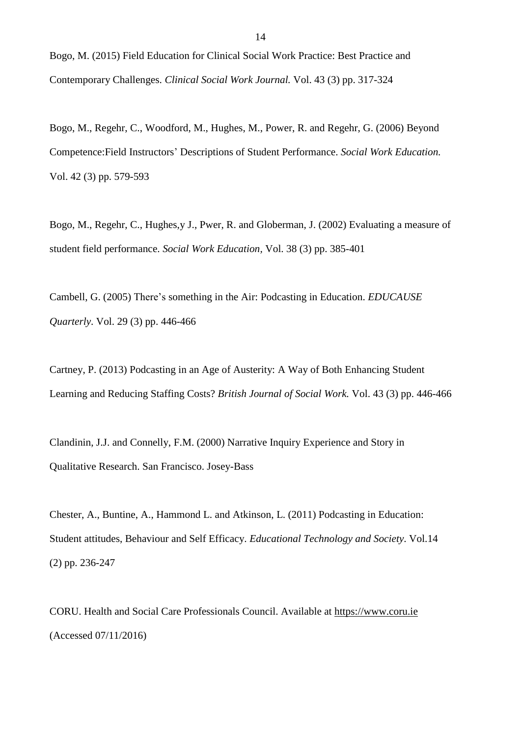Bogo, M. (2015) Field Education for Clinical Social Work Practice: Best Practice and Contemporary Challenges. *Clinical Social Work Journal.* Vol. 43 (3) pp. 317-324

Bogo, M., Regehr, C., Woodford, M., Hughes, M., Power, R. and Regehr, G. (2006) Beyond Competence:Field Instructors' Descriptions of Student Performance. *Social Work Education.* Vol. 42 (3) pp. 579-593

Bogo, M., Regehr, C., Hughes,y J., Pwer, R. and Globerman, J. (2002) Evaluating a measure of student field performance. *Social Work Education,* Vol. 38 (3) pp. 385-401

Cambell, G. (2005) There's something in the Air: Podcasting in Education. *EDUCAUSE Quarterly*. Vol. 29 (3) pp. 446-466

Cartney, P. (2013) Podcasting in an Age of Austerity: A Way of Both Enhancing Student Learning and Reducing Staffing Costs? *British Journal of Social Work.* Vol. 43 (3) pp. 446-466

Clandinin, J.J. and Connelly, F.M. (2000) Narrative Inquiry Experience and Story in Qualitative Research. San Francisco. Josey-Bass

Chester, A., Buntine, A., Hammond L. and Atkinson, L. (2011) Podcasting in Education: Student attitudes, Behaviour and Self Efficacy. *Educational Technology and Society*. Vol.14 (2) pp. 236-247

CORU. Health and Social Care Professionals Council. Available at [https://www.coru.ie](https://www.coru.ie/) (Accessed 07/11/2016)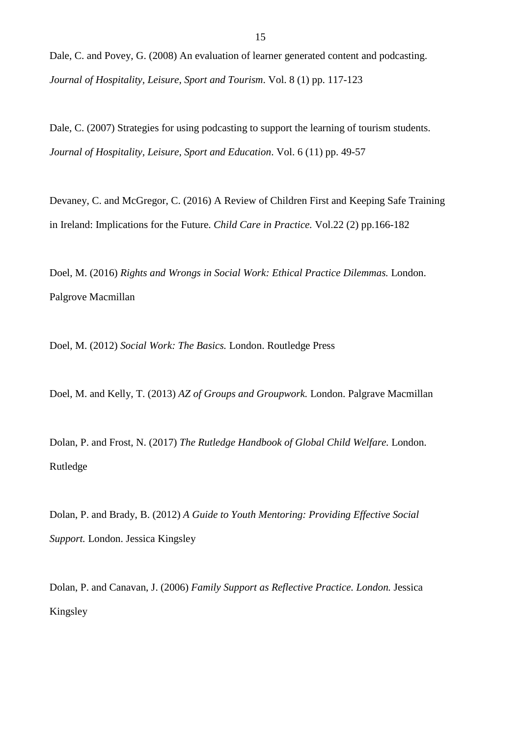Dale, C. and Povey, G. (2008) An evaluation of learner generated content and podcasting. *Journal of Hospitality, Leisure, Sport and Tourism*. Vol. 8 (1) pp. 117-123

Dale, C. (2007) Strategies for using podcasting to support the learning of tourism students. *Journal of Hospitality, Leisure, Sport and Education*. Vol. 6 (11) pp. 49-57

Devaney, C. and McGregor, C. (2016) A Review of Children First and Keeping Safe Training in Ireland: Implications for the Future. *Child Care in Practice.* Vol.22 (2) pp.166-182

Doel, M. (2016) *Rights and Wrongs in Social Work: Ethical Practice Dilemmas.* London. Palgrove Macmillan

Doel, M. (2012) *Social Work: The Basics.* London. Routledge Press

Doel, M. and Kelly, T. (2013) *AZ of Groups and Groupwork.* London. Palgrave Macmillan

Dolan, P. and Frost, N. (2017) *The Rutledge Handbook of Global Child Welfare.* London. Rutledge

Dolan, P. and Brady, B. (2012) *A Guide to Youth Mentoring: Providing Effective Social Support.* London. Jessica Kingsley

Dolan, P. and Canavan, J. (2006) *Family Support as Reflective Practice. London.* Jessica Kingsley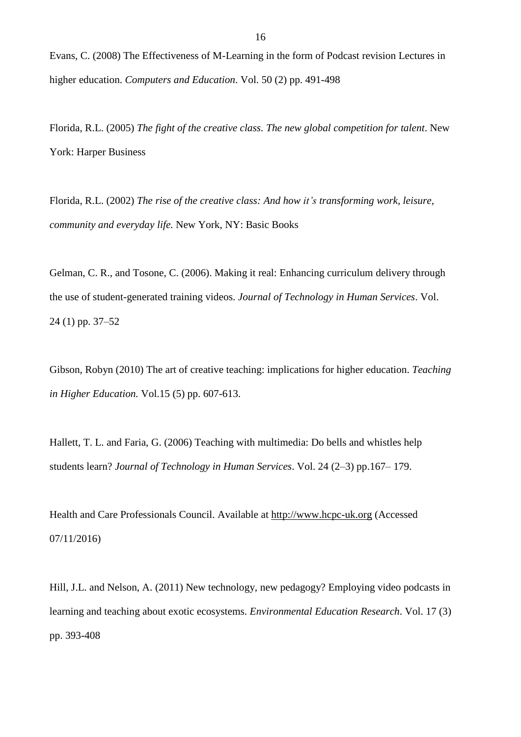Evans, C. (2008) The Effectiveness of M-Learning in the form of Podcast revision Lectures in higher education. *Computers and Education*. Vol. 50 (2) pp. 491-498

Florida, R.L. (2005) *The fight of the creative class. The new global competition for talent*. New York: Harper Business

Florida, R.L. (2002) *The rise of the creative class: And how it's transforming work, leisure, community and everyday life.* New York, NY: Basic Books

Gelman, C. R., and Tosone, C. (2006). Making it real: Enhancing curriculum delivery through the use of student-generated training videos. *Journal of Technology in Human Services*. Vol. 24 (1) pp. 37–52

Gibson, Robyn (2010) The art of creative teaching: implications for higher education. *Teaching in Higher Education.* Vol.15 (5) pp. 607-613.

Hallett, T. L. and Faria, G. (2006) Teaching with multimedia: Do bells and whistles help students learn? *Journal of Technology in Human Services*. Vol. 24 (2–3) pp.167– 179.

Health and Care Professionals Council. Available at [http://www.hcpc-uk.org](http://www.hcpc-uk.org/) (Accessed 07/11/2016)

Hill, J.L. and Nelson, A. (2011) New technology, new pedagogy? Employing video podcasts in learning and teaching about exotic ecosystems. *Environmental Education Research*. Vol. 17 (3) pp. 393-408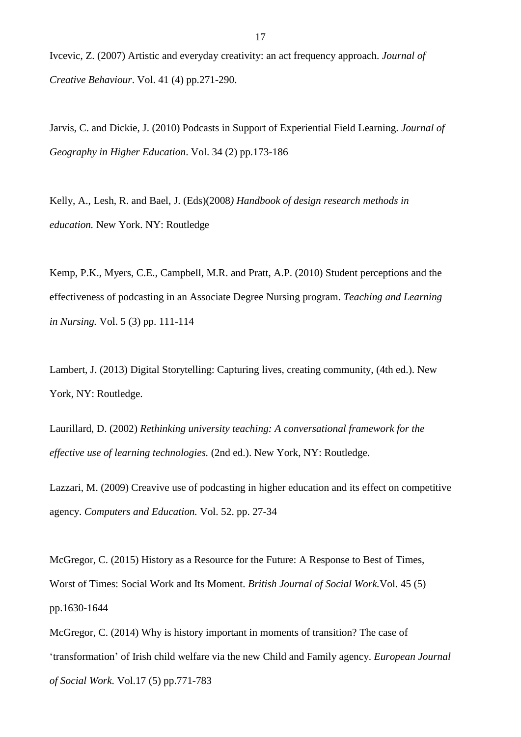Ivcevic, Z. (2007) Artistic and everyday creativity: an act frequency approach. *Journal of Creative Behaviour*. Vol. 41 (4) pp.271-290.

Jarvis, C. and Dickie, J. (2010) Podcasts in Support of Experiential Field Learning. *Journal of Geography in Higher Education*. Vol. 34 (2) pp.173-186

Kelly, A., Lesh, R. and Bael, J. (Eds)(2008*) Handbook of design research methods in education.* New York. NY: Routledge

Kemp, P.K., Myers, C.E., Campbell, M.R. and Pratt, A.P. (2010) Student perceptions and the effectiveness of podcasting in an Associate Degree Nursing program. *Teaching and Learning in Nursing.* Vol. 5 (3) pp. 111-114

Lambert, J. (2013) Digital Storytelling: Capturing lives, creating community, (4th ed.). New York, NY: Routledge.

Laurillard, D. (2002) *Rethinking university teaching: A conversational framework for the effective use of learning technologies.* (2nd ed.). New York, NY: Routledge.

Lazzari, M. (2009) Creavive use of podcasting in higher education and its effect on competitive agency. *Computers and Education.* Vol. 52. pp. 27-34

McGregor, C. (2015) History as a Resource for the Future: A Response to Best of Times, Worst of Times: Social Work and Its Moment. *British Journal of Social Work.*Vol. 45 (5) pp.1630-1644

McGregor, C. (2014) Why is history important in moments of transition? The case of 'transformation' of Irish child welfare via the new Child and Family agency. *European Journal of Social Work*. Vol.17 (5) pp.771-783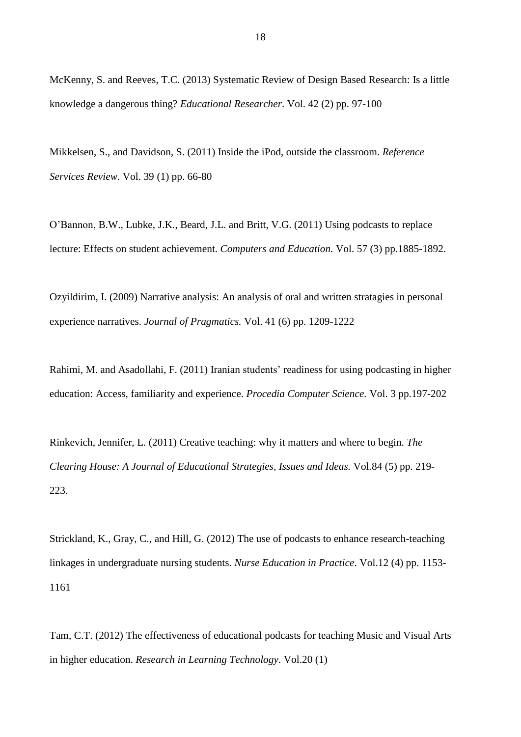McKenny, S. and Reeves, T.C. (2013) Systematic Review of Design Based Research: Is a little knowledge a dangerous thing? *Educational Researcher*. Vol. 42 (2) pp. 97-100

Mikkelsen, S., and Davidson, S. (2011) Inside the iPod, outside the classroom. *Reference Services Review.* Vol. 39 (1) pp. 66-80

O'Bannon, B.W., Lubke, J.K., Beard, J.L. and Britt, V.G. (2011) Using podcasts to replace lecture: Effects on student achievement. *Computers and Education.* Vol. 57 (3) pp.1885-1892.

Ozyildirim, I. (2009) Narrative analysis: An analysis of oral and written stratagies in personal experience narratives. *Journal of Pragmatics.* Vol. 41 (6) pp. 1209-1222

Rahimi, M. and Asadollahi, F. (2011) Iranian students' readiness for using podcasting in higher education: Access, familiarity and experience. *Procedia Computer Science.* Vol. 3 pp.197-202

Rinkevich, Jennifer, L. (2011) Creative teaching: why it matters and where to begin. *The Clearing House: A Journal of Educational Strategies, Issues and Ideas.* Vol*.*84 (5) pp. 219- 223.

Strickland, K., Gray, C., and Hill, G. (2012) The use of podcasts to enhance research-teaching linkages in undergraduate nursing students. *Nurse Education in Practice*. Vol.12 (4) pp. 1153- 1161

Tam, C.T. (2012) The effectiveness of educational podcasts for teaching Music and Visual Arts in higher education. *Research in Learning Technology*. Vol.20 (1)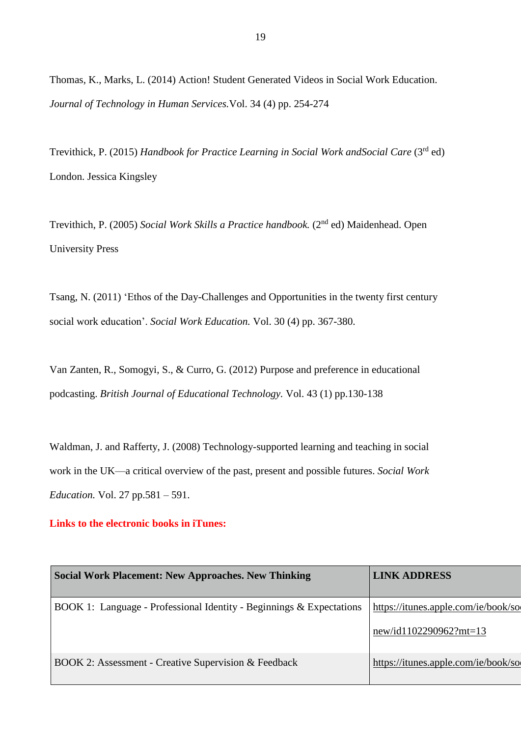Thomas, K., Marks, L. (2014) Action! Student Generated Videos in Social Work Education. *Journal of Technology in Human Services.*Vol. 34 (4) pp. 254-274

Trevithick, P. (2015) *Handbook for Practice Learning in Social Work andSocial Care* (3rd ed) London. Jessica Kingsley

Trevithich, P. (2005) *Social Work Skills a Practice handbook.* (2nd ed) Maidenhead. Open University Press

Tsang, N. (2011) 'Ethos of the Day-Challenges and Opportunities in the twenty first century social work education'. *Social Work Education.* Vol. 30 (4) pp. 367-380.

Van Zanten, R., Somogyi, S., & Curro, G. (2012) Purpose and preference in educational podcasting. *British Journal of Educational Technology.* Vol. 43 (1) pp.130-138

Waldman, J. and Rafferty, J. (2008) Technology-supported learning and teaching in social work in the UK—a critical overview of the past, present and possible futures. *Social Work Education.* Vol. 27 pp.581 – 591.

## **Links to the electronic books in iTunes:**

| <b>Social Work Placement: New Approaches. New Thinking</b>           | <b>LINK ADDRESS</b>                 |
|----------------------------------------------------------------------|-------------------------------------|
| BOOK 1: Language - Professional Identity - Beginnings & Expectations | https://itunes.apple.com/ie/book/so |
|                                                                      | new/id1102290962?mt=13              |
| BOOK 2: Assessment - Creative Supervision & Feedback                 | https://itunes.apple.com/ie/book/so |